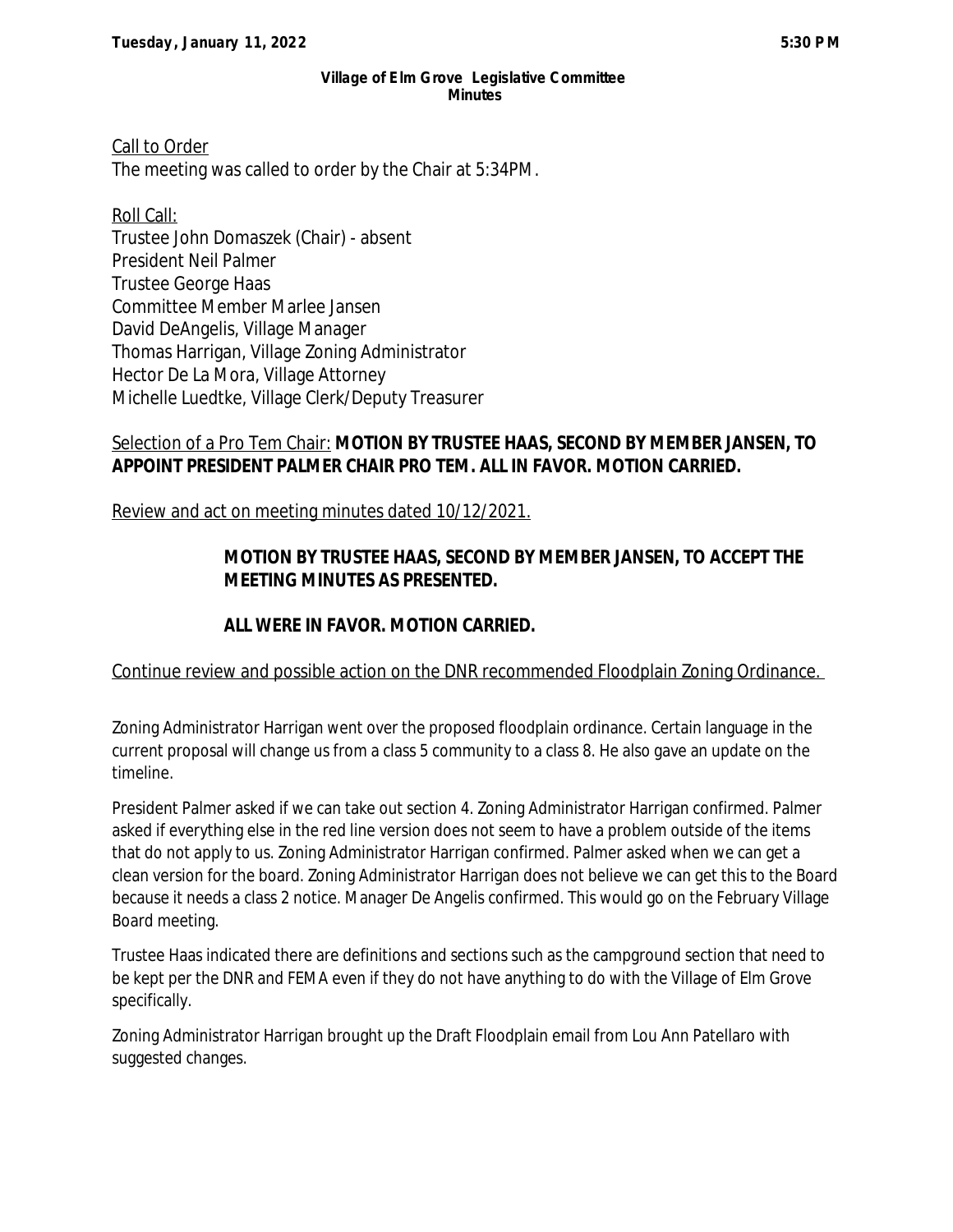#### **Village of Elm Grove Legislative Committee Minutes**

Call to Order The meeting was called to order by the Chair at 5:34PM.

Roll Call: Trustee John Domaszek (Chair) - absent President Neil Palmer Trustee George Haas Committee Member Marlee Jansen David DeAngelis, Village Manager Thomas Harrigan, Village Zoning Administrator Hector De La Mora, Village Attorney Michelle Luedtke, Village Clerk/Deputy Treasurer

### Selection of a Pro Tem Chair: **MOTION BY TRUSTEE HAAS, SECOND BY MEMBER JANSEN, TO APPOINT PRESIDENT PALMER CHAIR PRO TEM. ALL IN FAVOR. MOTION CARRIED.**

Review and act on meeting minutes dated 10/12/2021.

# **MOTION BY TRUSTEE HAAS, SECOND BY MEMBER JANSEN, TO ACCEPT THE MEETING MINUTES AS PRESENTED.**

## **ALL WERE IN FAVOR. MOTION CARRIED.**

### Continue review and possible action on the DNR recommended Floodplain Zoning Ordinance.

Zoning Administrator Harrigan went over the proposed floodplain ordinance. Certain language in the current proposal will change us from a class 5 community to a class 8. He also gave an update on the timeline.

President Palmer asked if we can take out section 4. Zoning Administrator Harrigan confirmed. Palmer asked if everything else in the red line version does not seem to have a problem outside of the items that do not apply to us. Zoning Administrator Harrigan confirmed. Palmer asked when we can get a clean version for the board. Zoning Administrator Harrigan does not believe we can get this to the Board because it needs a class 2 notice. Manager De Angelis confirmed. This would go on the February Village Board meeting.

Trustee Haas indicated there are definitions and sections such as the campground section that need to be kept per the DNR and FEMA even if they do not have anything to do with the Village of Elm Grove specifically.

Zoning Administrator Harrigan brought up the Draft Floodplain email from Lou Ann Patellaro with suggested changes.